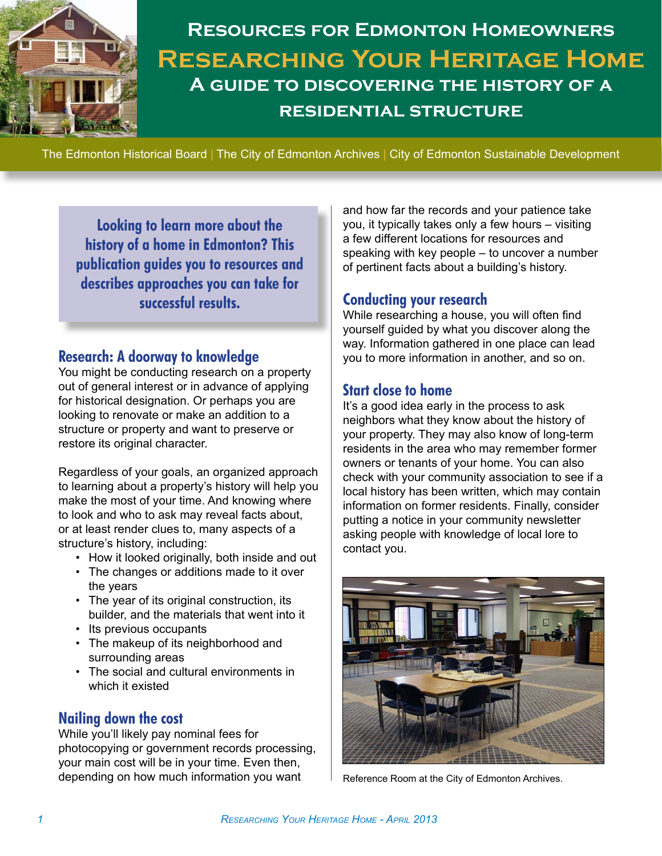

# **Resources for Edmonton Homeowners Researching Your Heritage Home A guide to discovering the history of a residential structure**

The Edmonton Historical Board | The City of Edmonton Archives | City of Edmonton Sustainable Development

**Looking to learn more about the history of a home in Edmonton? This publication guides you to resources and describes approaches you can take for successful results.** 

## **Research: A doorway to knowledge**

You might be conducting research on a property out of general interest or in advance of applying for historical designation. Or perhaps you are looking to renovate or make an addition to a structure or property and want to preserve or restore its original character.

Regardless of your goals, an organized approach to learning about a property's history will help you make the most of your time. And knowing where to look and who to ask may reveal facts about, or at least render clues to, many aspects of a structure's history, including:

- How it looked originally, both inside and out
- The changes or additions made to it over the years
- • The year of its original construction, its builder, and the materials that went into it
- • Its previous occupants
- The makeup of its neighborhood and surrounding areas
- • The social and cultural environments in which it existed

## **Nailing down the cost**

While you'll likely pay nominal fees for photocopying or government records processing, your main cost will be in your time. Even then, depending on how much information you want

and how far the records and your patience take you, it typically takes only a few hours – visiting a few different locations for resources and speaking with key people – to uncover a number of pertinent facts about a building's history.

## **Conducting your research**

While researching a house, you will often find yourself guided by what you discover along the way. Information gathered in one place can lead you to more information in another, and so on.

### **Start close to home**

It's a good idea early in the process to ask neighbors what they know about the history of your property. They may also know of long-term residents in the area who may remember former owners or tenants of your home. You can also check with your community association to see if a local history has been written, which may contain information on former residents. Finally, consider putting a notice in your community newsletter asking people with knowledge of local lore to contact you.



Reference Room at the City of Edmonton Archives.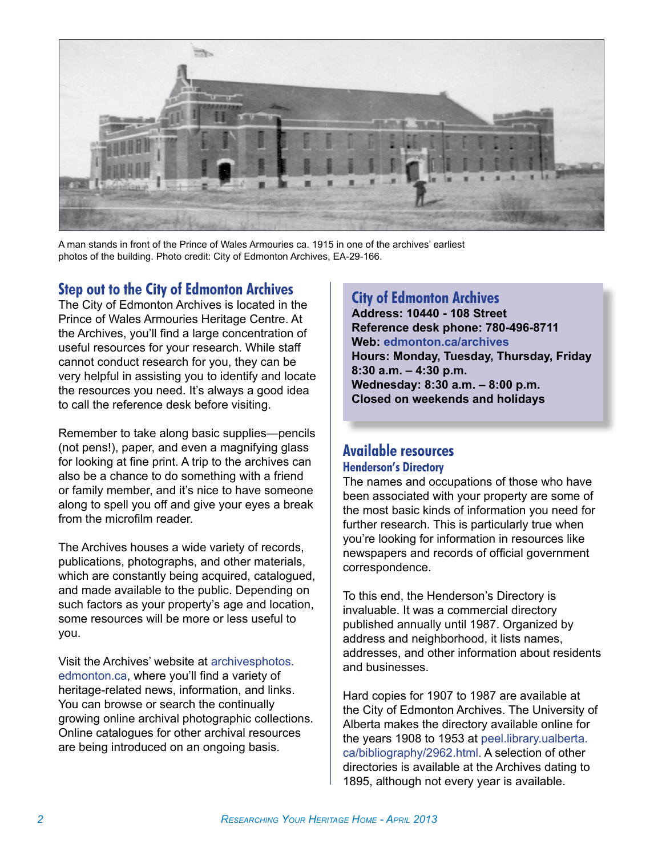

A man stands in front of the Prince of Wales Armouries ca. 1915 in one of the archives' earliest photos of the building. Photo credit: City of Edmonton Archives, EA-29-166.

## **Step out to the City of Edmonton Archives**

The City of Edmonton Archives is located in the Prince of Wales Armouries Heritage Centre. At the Archives, you'll find a large concentration of useful resources for your research. While staff cannot conduct research for you, they can be very helpful in assisting you to identify and locate the resources you need. It's always a good idea to call the reference desk before visiting.

Remember to take along basic supplies—pencils (not pens!), paper, and even a magnifying glass for looking at fine print. A trip to the archives can also be a chance to do something with a friend or family member, and it's nice to have someone along to spell you off and give your eyes a break from the microfilm reader.

The Archives houses a wide variety of records, publications, photographs, and other materials, which are constantly being acquired, catalogued, and made available to the public. Depending on such factors as your property's age and location, some resources will be more or less useful to you.

Visit the Archives' website at [archivesphotos.](http://archivesphotos.edmonton.ca) [edmonton.ca](http://archivesphotos.edmonton.ca), where you'll find a variety of heritage-related news, information, and links. You can browse or search the continually growing online archival photographic collections. Online catalogues for other archival resources are being introduced on an ongoing basis.

## **City of Edmonton Archives**

**Address: 10440 - 108 Street Reference desk phone: 780-496-8711 Web: [edmonton.ca/archives](http://edmonton.ca/archives) Hours: Monday, Tuesday, Thursday, Friday 8:30 a.m. – 4:30 p.m. Wednesday: 8:30 a.m. – 8:00 p.m.**

**Closed on weekends and holidays**

## **Available resources Henderson's Directory**

The names and occupations of those who have been associated with your property are some of the most basic kinds of information you need for further research. This is particularly true when you're looking for information in resources like newspapers and records of official government correspondence.

To this end, the Henderson's Directory is invaluable. It was a commercial directory published annually until 1987. Organized by address and neighborhood, it lists names, addresses, and other information about residents and businesses.

Hard copies for 1907 to 1987 are available at the City of Edmonton Archives. The University of Alberta makes the directory available online for the years 1908 to 1953 at [peel.library.ualberta.](http://peel.library.ualberta.ca/bibliography/2962.html) [ca/bibliography/2962.html.](http://peel.library.ualberta.ca/bibliography/2962.html) A selection of other directories is available at the Archives dating to 1895, although not every year is available.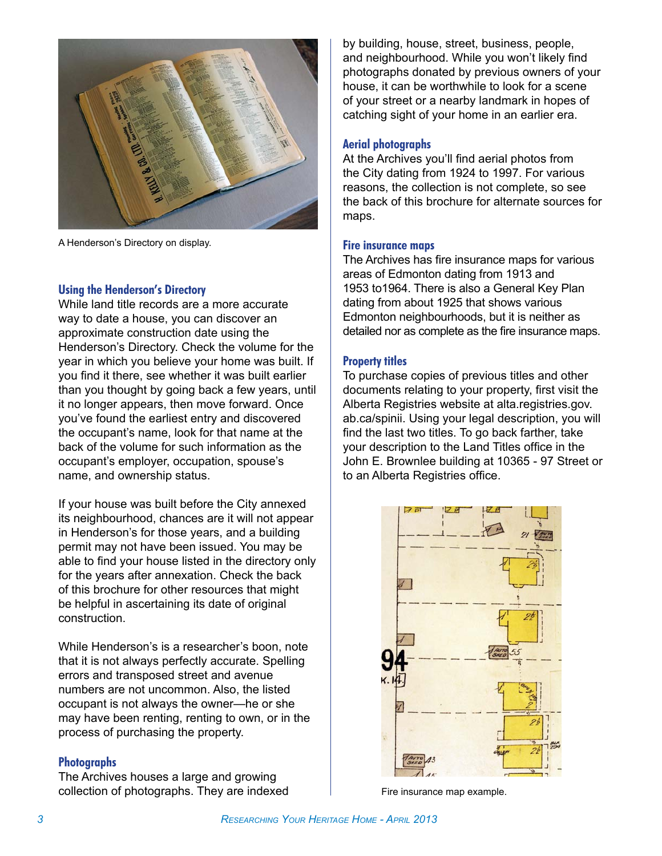

A Henderson's Directory on display.

#### **Using the Henderson's Directory**

While land title records are a more accurate way to date a house, you can discover an approximate construction date using the Henderson's Directory. Check the volume for the year in which you believe your home was built. If you find it there, see whether it was built earlier than you thought by going back a few years, until it no longer appears, then move forward. Once you've found the earliest entry and discovered the occupant's name, look for that name at the back of the volume for such information as the occupant's employer, occupation, spouse's name, and ownership status.

If your house was built before the City annexed its neighbourhood, chances are it will not appear in Henderson's for those years, and a building permit may not have been issued. You may be able to find your house listed in the directory only for the years after annexation. Check the back of this brochure for other resources that might be helpful in ascertaining its date of original construction.

While Henderson's is a researcher's boon, note that it is not always perfectly accurate. Spelling errors and transposed street and avenue numbers are not uncommon. Also, the listed occupant is not always the owner—he or she may have been renting, renting to own, or in the process of purchasing the property.

#### **Photographs**

The Archives houses a large and growing collection of photographs. They are indexed

by building, house, street, business, people, and neighbourhood. While you won't likely find photographs donated by previous owners of your house, it can be worthwhile to look for a scene of your street or a nearby landmark in hopes of catching sight of your home in an earlier era.

#### **Aerial photographs**

At the Archives you'll find aerial photos from the City dating from 1924 to 1997. For various reasons, the collection is not complete, so see the back of this brochure for alternate sources for maps.

#### **Fire insurance maps**

The Archives has fire insurance maps for various areas of Edmonton dating from 1913 and 1953 to1964. There is also a General Key Plan dating from about 1925 that shows various Edmonton neighbourhoods, but it is neither as detailed nor as complete as the fire insurance maps.

#### **Property titles**

To purchase copies of previous titles and other documents relating to your property, first visit the Alberta Registries website at alta.registries.gov. ab.ca/spinii. Using your legal description, you will find the last two titles. To go back farther, take your description to the Land Titles office in the John E. Brownlee building at 10365 - 97 Street or to an Alberta Registries office.



Fire insurance map example.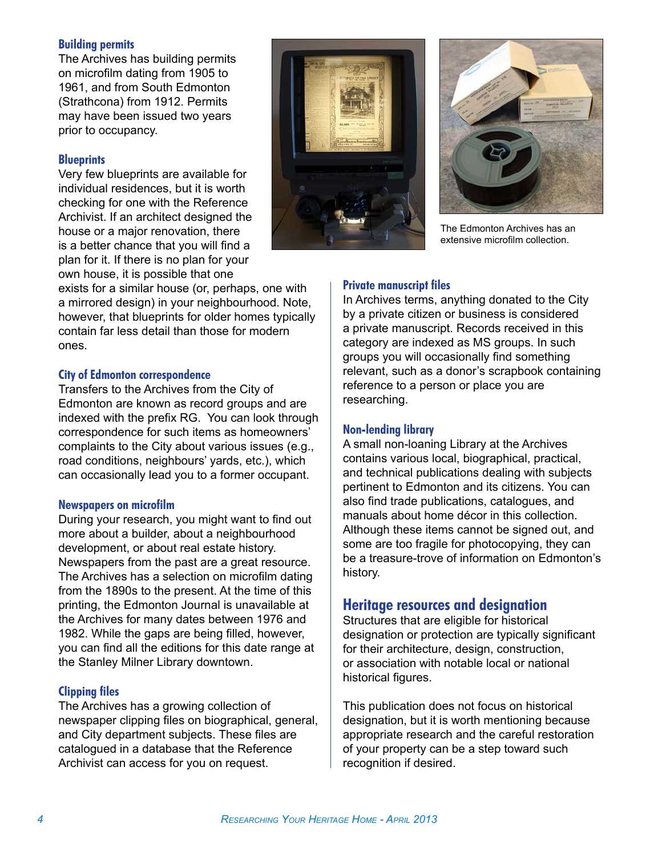#### **Building permits**

The Archives has building permits on microfilm dating from 1905 to 1961, and from South Edmonton (Strathcona) from 1912. Permits may have been issued two years prior to occupancy.

#### **Blueprints**

Very few blueprints are available for individual residences, but it is worth checking for one with the Reference Archivist. If an architect designed the house or a major renovation, there is a better chance that you will find a plan for it. If there is no plan for your own house, it is possible that one

exists for a similar house (or, perhaps, one with a mirrored design) in your neighbourhood. Note, however, that blueprints for older homes typically contain far less detail than those for modern ones.

#### **City of Edmonton correspondence**

Transfers to the Archives from the City of Edmonton are known as record groups and are indexed with the prefix RG. You can look through correspondence for such items as homeowners' complaints to the City about various issues (e.g., road conditions, neighbours' yards, etc.), which can occasionally lead you to a former occupant.

#### **Newspapers on microfilm**

During your research, you might want to find out more about a builder, about a neighbourhood development, or about real estate history. Newspapers from the past are a great resource. The Archives has a selection on microfilm dating from the 1890s to the present. At the time of this printing, the Edmonton Journal is unavailable at the Archives for many dates between 1976 and 1982. While the gaps are being filled, however, you can find all the editions for this date range at the Stanley Milner Library downtown.

#### **Clipping files**

The Archives has a growing collection of newspaper clipping files on biographical, general, and City department subjects. These files are catalogued in a database that the Reference Archivist can access for you on request.





The Edmonton Archives has an extensive microfilm collection.

#### **Private manuscript files**

In Archives terms, anything donated to the City by a private citizen or business is considered a private manuscript. Records received in this category are indexed as MS groups. In such groups you will occasionally find something relevant, such as a donor's scrapbook containing reference to a person or place you are researching.

#### **Non-lending library**

A small non-loaning Library at the Archives contains various local, biographical, practical, and technical publications dealing with subjects pertinent to Edmonton and its citizens. You can also find trade publications, catalogues, and manuals about home décor in this collection. Although these items cannot be signed out, and some are too fragile for photocopying, they can be a treasure-trove of information on Edmonton's history.

## **Heritage resources and designation**

Structures that are eligible for historical designation or protection are typically significant for their architecture, design, construction, or association with notable local or national historical figures.

This publication does not focus on historical designation, but it is worth mentioning because appropriate research and the careful restoration of your property can be a step toward such recognition if desired.